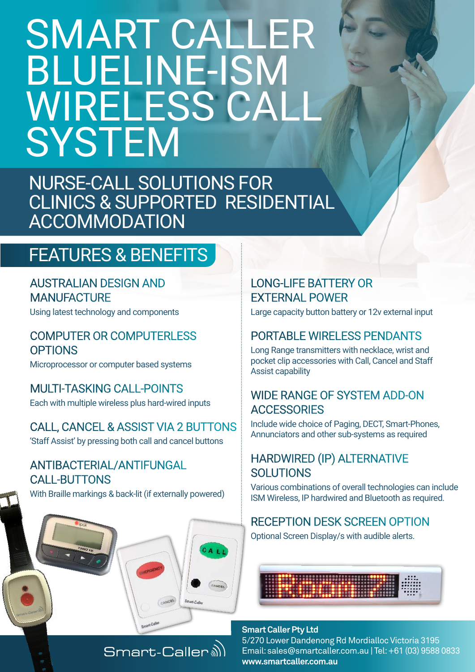# SMART CALLER BLUELINE-ISM WIRELESS CALI **SYSTEM**

NURSE-CALL SOLUTIONS FOR CLINICS & SUPPORTED RESIDENTIAL ACCOMMODATION

## FEATURES & BENEFITS

AUSTRALIAN DESIGN AND **MANUFACTURE** 

Using latest technology and components

#### COMPUTER OR COMPUTERLESS **OPTIONS**

Microprocessor or computer based systems

MULTI-TASKING CALL-POINTS Each with multiple wireless plus hard-wired inputs

CALL, CANCEL & ASSIST VIA 2 BUTTONS 'Staff Assist' by pressing both call and cancel buttons

#### ANTIBACTERIAL/ANTIFUNGAL CALL-BUTTONS

With Braille markings & back-lit (if externally powered)

Smart-Caller<sup>a)</sup>

#### LONG-LIFE BATTERY OR EXTERNAL POWER

Large capacity button battery or 12v external input

#### PORTABLE WIRELESS PENDANTS

Long Range transmitters with necklace, wrist and pocket clip accessories with Call, Cancel and Staff Assist capability

#### WIDE RANGE OF SYSTEM ADD-ON **ACCESSORIES**

Include wide choice of Paging, DECT, Smart-Phones, Annunciators and other sub-systems as required

#### HARDWIRED (IP) ALTERNATIVE SOLUTIONS

Various combinations of overall technologies can include ISM Wireless, IP hardwired and Bluetooth as required.

### RECEPTION DESK SCREEN OPTION

Optional Screen Display/s with audible alerts.



#### **Smart Caller Pty Ltd**  5/270 Lower Dandenong Rd Mordialloc Victoria 3195 Email: sales@smartcaller.com.au | Tel: +61 (03) 9588 0833 **www.smartcaller.com.au**